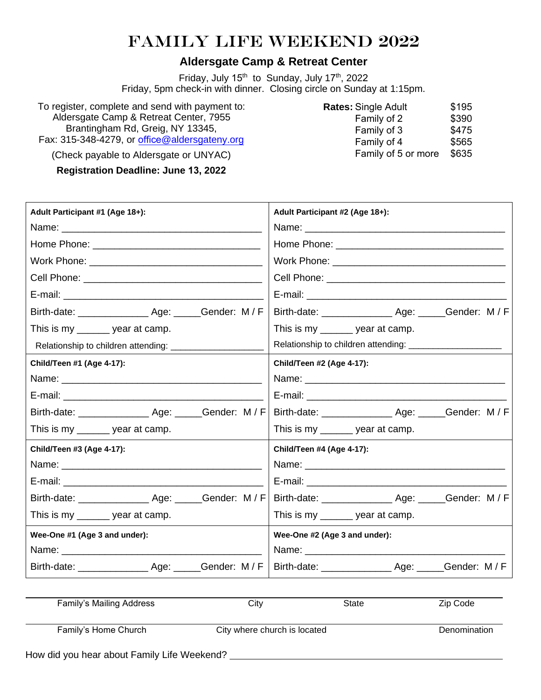## Family Life Weekend 2022

## **Aldersgate Camp & Retreat Center**

Friday, July 15<sup>th</sup> to Sunday, July 17<sup>th</sup>, 2022 Friday, 5pm check-in with dinner. Closing circle on Sunday at 1:15pm.

To register, complete and send with payment to: Aldersgate Camp & Retreat Center, 7955 Brantingham Rd, Greig, NY 13345, Fax: 315-348-4279, or office[@aldersgateny.org](mailto:info@aldersgateny.org)

**Rates:** Single Adult \$195<br>Family of 2 \$390 Family of 2 Family of 3 \$475 Family of 4 \$565 Family of 5 or more \$635

(Check payable to Aldersgate or UNYAC)

**Registration Deadline: June 13, 2022**

| Adult Participant #1 (Age 18+):                          | Adult Participant #2 (Age 18+): |
|----------------------------------------------------------|---------------------------------|
|                                                          |                                 |
|                                                          |                                 |
|                                                          |                                 |
|                                                          |                                 |
|                                                          |                                 |
| Birth-date: ___________________ Age: ______Gender: M / F |                                 |
| This is my ______ year at camp.                          | This is my ______ year at camp. |
| Relationship to children attending: ____________         |                                 |
| Child/Teen #1 (Age 4-17):                                | Child/Teen #2 (Age 4-17):       |
|                                                          |                                 |
|                                                          |                                 |
|                                                          |                                 |
| This is my ______ year at camp.                          | This is my ______ year at camp. |
| Child/Teen #3 (Age 4-17):                                | Child/Teen #4 (Age 4-17):       |
|                                                          |                                 |
|                                                          |                                 |
|                                                          |                                 |
| This is my ______ year at camp.                          | This is my ______ year at camp. |
| Wee-One #1 (Age 3 and under):                            | Wee-One #2 (Age 3 and under):   |
|                                                          | Name: ___________________       |
| Birth-date: __________________ Age: ______Gender: M / F  |                                 |

| Family's Mailing Address                    | City                         | <b>State</b> | Zip Code     |
|---------------------------------------------|------------------------------|--------------|--------------|
| Family's Home Church                        | City where church is located |              | Denomination |
| How did you hear about Family Life Weekend? |                              |              |              |